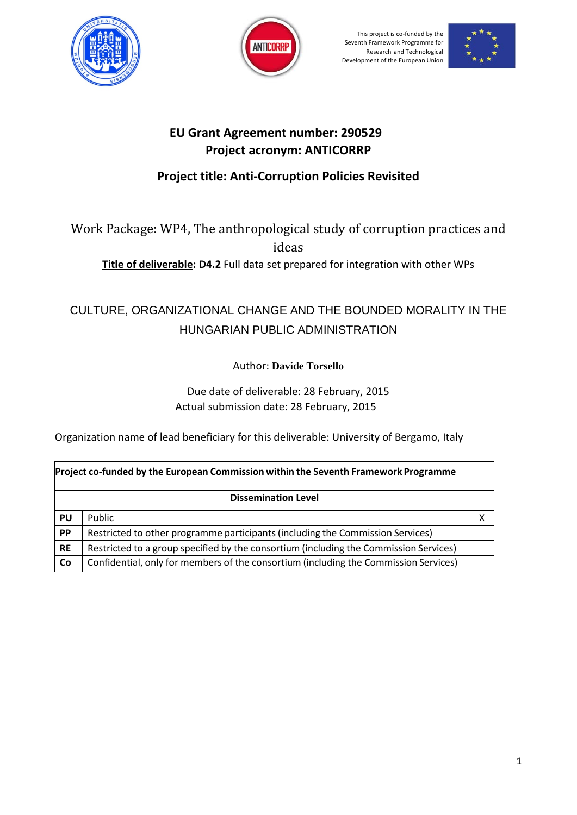





## **EU Grant Agreement number: 290529 Project acronym: ANTICORRP**

## **Project title: Anti-Corruption Policies Revisited**

Work Package: WP4, The anthropological study of corruption practices and ideas

**Title of deliverable: D4.2** Full data set prepared for integration with other WPs

# CULTURE, ORGANIZATIONAL CHANGE AND THE BOUNDED MORALITY IN THE HUNGARIAN PUBLIC ADMINISTRATION

Author: **Davide Torsello**

Due date of deliverable: 28 February, 2015 Actual submission date: 28 February, 2015

Organization name of lead beneficiary for this deliverable: University of Bergamo, Italy

| Project co-funded by the European Commission within the Seventh Framework Programme |                                                                                       |  |
|-------------------------------------------------------------------------------------|---------------------------------------------------------------------------------------|--|
| <b>Dissemination Level</b>                                                          |                                                                                       |  |
| PU                                                                                  | Public                                                                                |  |
| PP                                                                                  | Restricted to other programme participants (including the Commission Services)        |  |
| <b>RE</b>                                                                           | Restricted to a group specified by the consortium (including the Commission Services) |  |
| Co                                                                                  | Confidential, only for members of the consortium (including the Commission Services)  |  |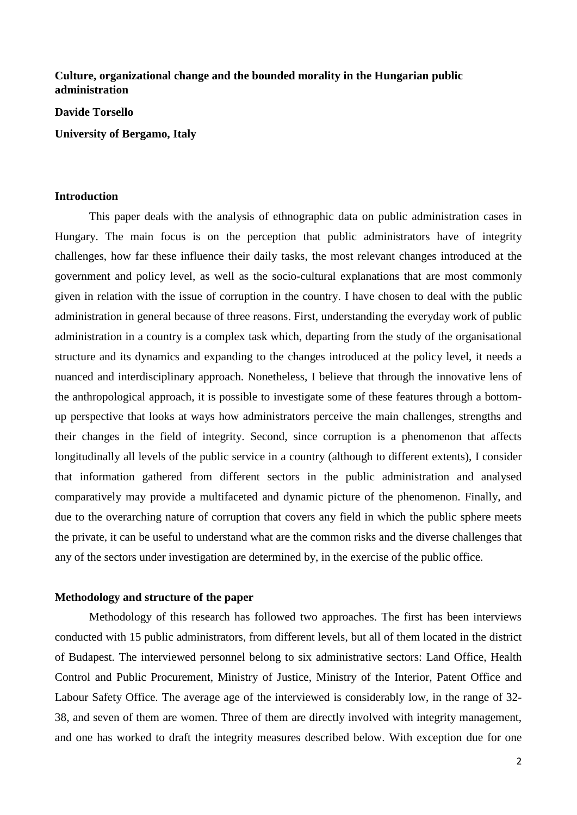## **Culture, organizational change and the bounded morality in the Hungarian public administration**

**Davide Torsello**

**University of Bergamo, Italy**

### **Introduction**

This paper deals with the analysis of ethnographic data on public administration cases in Hungary. The main focus is on the perception that public administrators have of integrity challenges, how far these influence their daily tasks, the most relevant changes introduced at the government and policy level, as well as the socio-cultural explanations that are most commonly given in relation with the issue of corruption in the country. I have chosen to deal with the public administration in general because of three reasons. First, understanding the everyday work of public administration in a country is a complex task which, departing from the study of the organisational structure and its dynamics and expanding to the changes introduced at the policy level, it needs a nuanced and interdisciplinary approach. Nonetheless, I believe that through the innovative lens of the anthropological approach, it is possible to investigate some of these features through a bottomup perspective that looks at ways how administrators perceive the main challenges, strengths and their changes in the field of integrity. Second, since corruption is a phenomenon that affects longitudinally all levels of the public service in a country (although to different extents), I consider that information gathered from different sectors in the public administration and analysed comparatively may provide a multifaceted and dynamic picture of the phenomenon. Finally, and due to the overarching nature of corruption that covers any field in which the public sphere meets the private, it can be useful to understand what are the common risks and the diverse challenges that any of the sectors under investigation are determined by, in the exercise of the public office.

#### **Methodology and structure of the paper**

Methodology of this research has followed two approaches. The first has been interviews conducted with 15 public administrators, from different levels, but all of them located in the district of Budapest. The interviewed personnel belong to six administrative sectors: Land Office, Health Control and Public Procurement, Ministry of Justice, Ministry of the Interior, Patent Office and Labour Safety Office. The average age of the interviewed is considerably low, in the range of 32- 38, and seven of them are women. Three of them are directly involved with integrity management, and one has worked to draft the integrity measures described below. With exception due for one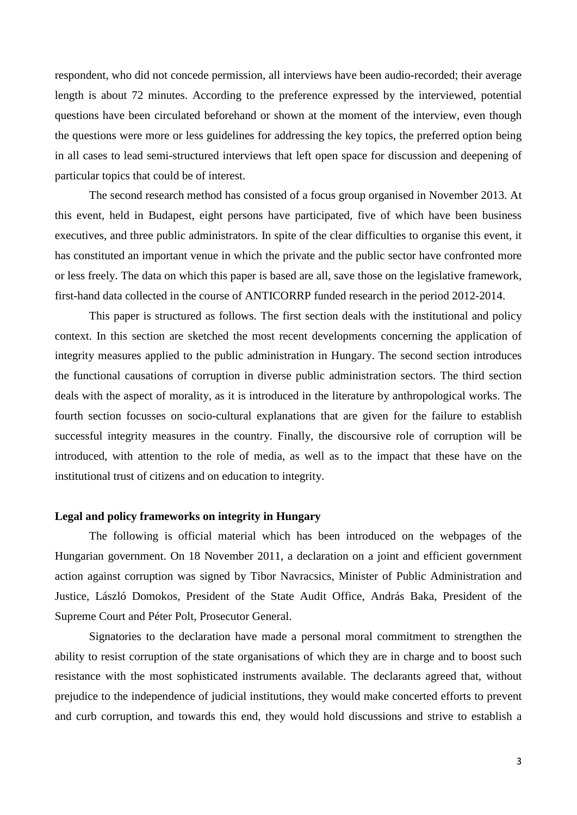respondent, who did not concede permission, all interviews have been audio-recorded; their average length is about 72 minutes. According to the preference expressed by the interviewed, potential questions have been circulated beforehand or shown at the moment of the interview, even though the questions were more or less guidelines for addressing the key topics, the preferred option being in all cases to lead semi-structured interviews that left open space for discussion and deepening of particular topics that could be of interest.

The second research method has consisted of a focus group organised in November 2013. At this event, held in Budapest, eight persons have participated, five of which have been business executives, and three public administrators. In spite of the clear difficulties to organise this event, it has constituted an important venue in which the private and the public sector have confronted more or less freely. The data on which this paper is based are all, save those on the legislative framework, first-hand data collected in the course of ANTICORRP funded research in the period 2012-2014.

This paper is structured as follows. The first section deals with the institutional and policy context. In this section are sketched the most recent developments concerning the application of integrity measures applied to the public administration in Hungary. The second section introduces the functional causations of corruption in diverse public administration sectors. The third section deals with the aspect of morality, as it is introduced in the literature by anthropological works. The fourth section focusses on socio-cultural explanations that are given for the failure to establish successful integrity measures in the country. Finally, the discoursive role of corruption will be introduced, with attention to the role of media, as well as to the impact that these have on the institutional trust of citizens and on education to integrity.

#### **Legal and policy frameworks on integrity in Hungary**

The following is official material which has been introduced on the webpages of the Hungarian government. On 18 November 2011, a declaration on a joint and efficient government action against corruption was signed by Tibor Navracsics, Minister of Public Administration and Justice, László Domokos, President of the State Audit Office, András Baka, President of the Supreme Court and Péter Polt, Prosecutor General.

Signatories to the declaration have made a personal moral commitment to strengthen the ability to resist corruption of the state organisations of which they are in charge and to boost such resistance with the most sophisticated instruments available. The declarants agreed that, without prejudice to the independence of judicial institutions, they would make concerted efforts to prevent and curb corruption, and towards this end, they would hold discussions and strive to establish a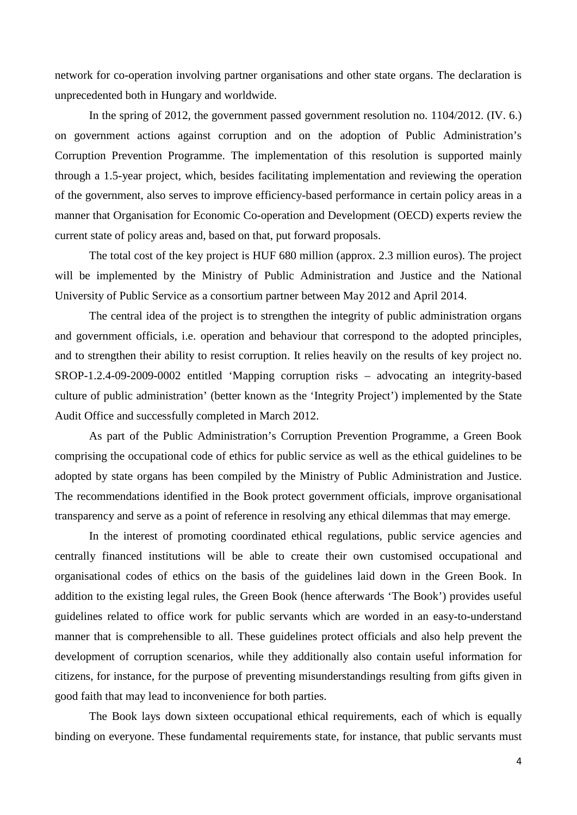network for co-operation involving partner organisations and other state organs. The declaration is unprecedented both in Hungary and worldwide.

In the spring of 2012, the government passed government resolution no. 1104/2012. (IV. 6.) on government actions against corruption and on the adoption of Public Administration's Corruption Prevention Programme. The implementation of this resolution is supported mainly through a 1.5-year project, which, besides facilitating implementation and reviewing the operation of the government, also serves to improve efficiency-based performance in certain policy areas in a manner that Organisation for Economic Co-operation and Development (OECD) experts review the current state of policy areas and, based on that, put forward proposals.

The total cost of the key project is HUF 680 million (approx. 2.3 million euros). The project will be implemented by the Ministry of Public Administration and Justice and the National University of Public Service as a consortium partner between May 2012 and April 2014.

The central idea of the project is to strengthen the integrity of public administration organs and government officials, i.e. operation and behaviour that correspond to the adopted principles, and to strengthen their ability to resist corruption. It relies heavily on the results of key project no. SROP-1.2.4-09-2009-0002 entitled 'Mapping corruption risks – advocating an integrity-based culture of public administration' (better known as the 'Integrity Project') implemented by the State Audit Office and successfully completed in March 2012.

As part of the Public Administration's Corruption Prevention Programme, a Green Book comprising the occupational code of ethics for public service as well as the ethical guidelines to be adopted by state organs has been compiled by the Ministry of Public Administration and Justice. The recommendations identified in the Book protect government officials, improve organisational transparency and serve as a point of reference in resolving any ethical dilemmas that may emerge.

In the interest of promoting coordinated ethical regulations, public service agencies and centrally financed institutions will be able to create their own customised occupational and organisational codes of ethics on the basis of the guidelines laid down in the Green Book. In addition to the existing legal rules, the Green Book (hence afterwards 'The Book') provides useful guidelines related to office work for public servants which are worded in an easy-to-understand manner that is comprehensible to all. These guidelines protect officials and also help prevent the development of corruption scenarios, while they additionally also contain useful information for citizens, for instance, for the purpose of preventing misunderstandings resulting from gifts given in good faith that may lead to inconvenience for both parties.

The Book lays down sixteen occupational ethical requirements, each of which is equally binding on everyone. These fundamental requirements state, for instance, that public servants must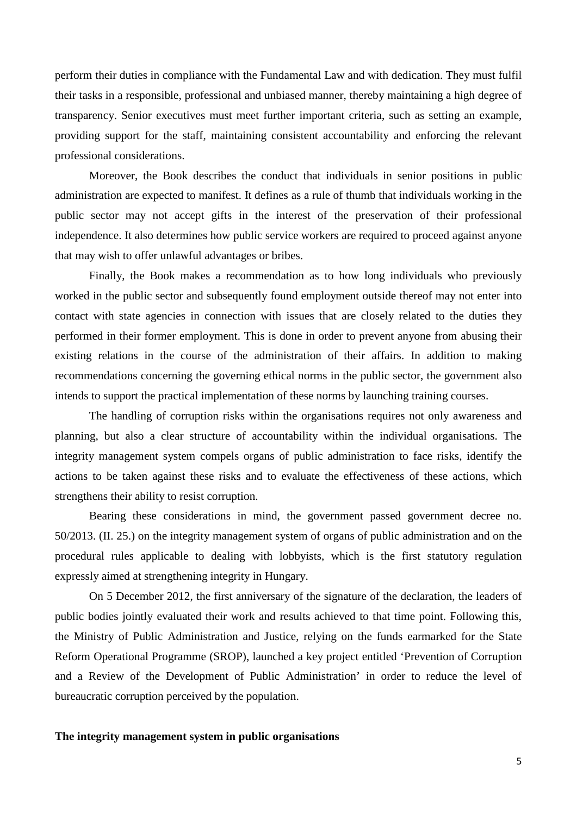perform their duties in compliance with the Fundamental Law and with dedication. They must fulfil their tasks in a responsible, professional and unbiased manner, thereby maintaining a high degree of transparency. Senior executives must meet further important criteria, such as setting an example, providing support for the staff, maintaining consistent accountability and enforcing the relevant professional considerations.

Moreover, the Book describes the conduct that individuals in senior positions in public administration are expected to manifest. It defines as a rule of thumb that individuals working in the public sector may not accept gifts in the interest of the preservation of their professional independence. It also determines how public service workers are required to proceed against anyone that may wish to offer unlawful advantages or bribes.

Finally, the Book makes a recommendation as to how long individuals who previously worked in the public sector and subsequently found employment outside thereof may not enter into contact with state agencies in connection with issues that are closely related to the duties they performed in their former employment. This is done in order to prevent anyone from abusing their existing relations in the course of the administration of their affairs. In addition to making recommendations concerning the governing ethical norms in the public sector, the government also intends to support the practical implementation of these norms by launching training courses.

The handling of corruption risks within the organisations requires not only awareness and planning, but also a clear structure of accountability within the individual organisations. The integrity management system compels organs of public administration to face risks, identify the actions to be taken against these risks and to evaluate the effectiveness of these actions, which strengthens their ability to resist corruption.

Bearing these considerations in mind, the government passed government decree no. 50/2013. (II. 25.) on the integrity management system of organs of public administration and on the procedural rules applicable to dealing with lobbyists, which is the first statutory regulation expressly aimed at strengthening integrity in Hungary.

On 5 December 2012, the first anniversary of the signature of the declaration, the leaders of public bodies jointly evaluated their work and results achieved to that time point. Following this, the Ministry of Public Administration and Justice, relying on the funds earmarked for the State Reform Operational Programme (SROP), launched a key project entitled 'Prevention of Corruption and a Review of the Development of Public Administration' in order to reduce the level of bureaucratic corruption perceived by the population.

#### **The integrity management system in public organisations**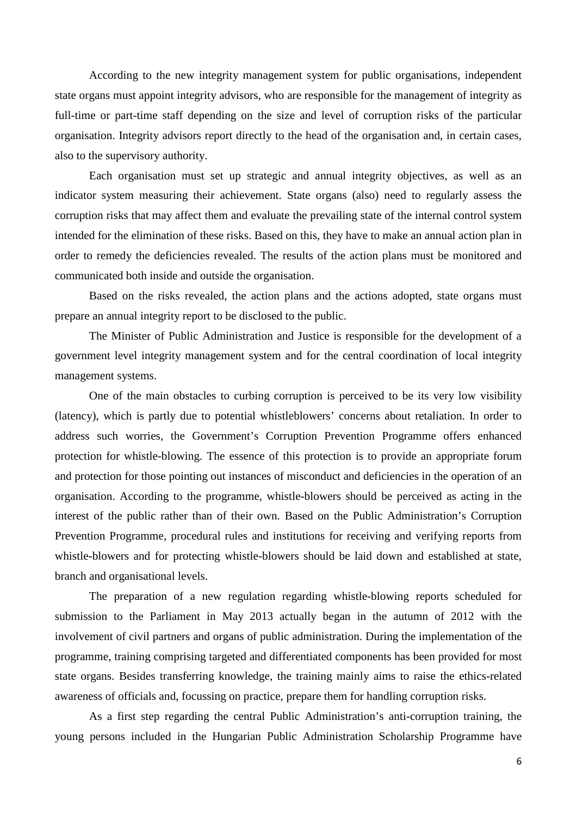According to the new integrity management system for public organisations, independent state organs must appoint integrity advisors, who are responsible for the management of integrity as full-time or part-time staff depending on the size and level of corruption risks of the particular organisation. Integrity advisors report directly to the head of the organisation and, in certain cases, also to the supervisory authority.

Each organisation must set up strategic and annual integrity objectives, as well as an indicator system measuring their achievement. State organs (also) need to regularly assess the corruption risks that may affect them and evaluate the prevailing state of the internal control system intended for the elimination of these risks. Based on this, they have to make an annual action plan in order to remedy the deficiencies revealed. The results of the action plans must be monitored and communicated both inside and outside the organisation.

Based on the risks revealed, the action plans and the actions adopted, state organs must prepare an annual integrity report to be disclosed to the public.

The Minister of Public Administration and Justice is responsible for the development of a government level integrity management system and for the central coordination of local integrity management systems.

One of the main obstacles to curbing corruption is perceived to be its very low visibility (latency), which is partly due to potential whistleblowers' concerns about retaliation. In order to address such worries, the Government's Corruption Prevention Programme offers enhanced protection for whistle-blowing. The essence of this protection is to provide an appropriate forum and protection for those pointing out instances of misconduct and deficiencies in the operation of an organisation. According to the programme, whistle-blowers should be perceived as acting in the interest of the public rather than of their own. Based on the Public Administration's Corruption Prevention Programme, procedural rules and institutions for receiving and verifying reports from whistle-blowers and for protecting whistle-blowers should be laid down and established at state, branch and organisational levels.

The preparation of a new regulation regarding whistle-blowing reports scheduled for submission to the Parliament in May 2013 actually began in the autumn of 2012 with the involvement of civil partners and organs of public administration. During the implementation of the programme, training comprising targeted and differentiated components has been provided for most state organs. Besides transferring knowledge, the training mainly aims to raise the ethics-related awareness of officials and, focussing on practice, prepare them for handling corruption risks.

As a first step regarding the central Public Administration's anti-corruption training, the young persons included in the Hungarian Public Administration Scholarship Programme have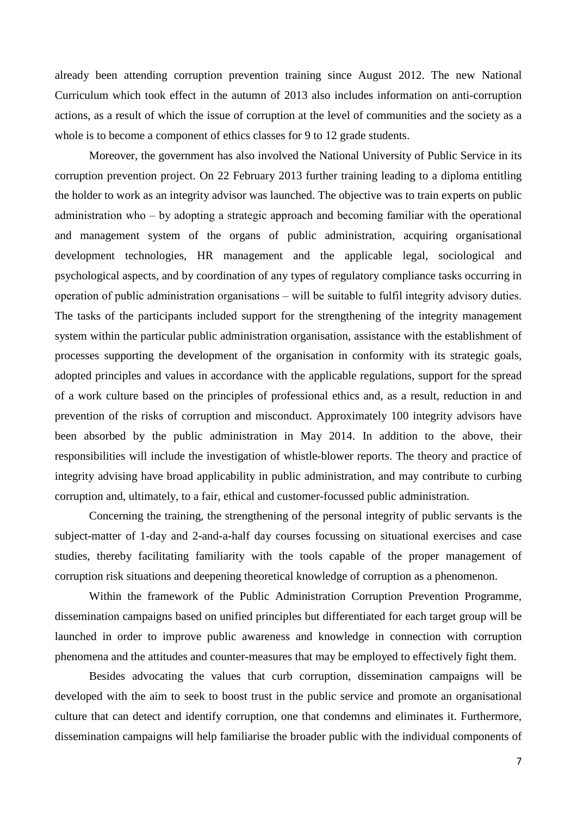already been attending corruption prevention training since August 2012. The new National Curriculum which took effect in the autumn of 2013 also includes information on anti-corruption actions, as a result of which the issue of corruption at the level of communities and the society as a whole is to become a component of ethics classes for 9 to 12 grade students.

Moreover, the government has also involved the National University of Public Service in its corruption prevention project. On 22 February 2013 further training leading to a diploma entitling the holder to work as an integrity advisor was launched. The objective was to train experts on public administration who  $-$  by adopting a strategic approach and becoming familiar with the operational and management system of the organs of public administration, acquiring organisational development technologies, HR management and the applicable legal, sociological and psychological aspects, and by coordination of any types of regulatory compliance tasks occurring in operation of public administration organisations ‒ will be suitable to fulfil integrity advisory duties. The tasks of the participants included support for the strengthening of the integrity management system within the particular public administration organisation, assistance with the establishment of processes supporting the development of the organisation in conformity with its strategic goals, adopted principles and values in accordance with the applicable regulations, support for the spread of a work culture based on the principles of professional ethics and, as a result, reduction in and prevention of the risks of corruption and misconduct. Approximately 100 integrity advisors have been absorbed by the public administration in May 2014. In addition to the above, their responsibilities will include the investigation of whistle-blower reports. The theory and practice of integrity advising have broad applicability in public administration, and may contribute to curbing corruption and, ultimately, to a fair, ethical and customer-focussed public administration.

Concerning the training, the strengthening of the personal integrity of public servants is the subject-matter of 1-day and 2-and-a-half day courses focussing on situational exercises and case studies, thereby facilitating familiarity with the tools capable of the proper management of corruption risk situations and deepening theoretical knowledge of corruption as a phenomenon.

Within the framework of the Public Administration Corruption Prevention Programme, dissemination campaigns based on unified principles but differentiated for each target group will be launched in order to improve public awareness and knowledge in connection with corruption phenomena and the attitudes and counter-measures that may be employed to effectively fight them.

Besides advocating the values that curb corruption, dissemination campaigns will be developed with the aim to seek to boost trust in the public service and promote an organisational culture that can detect and identify corruption, one that condemns and eliminates it. Furthermore, dissemination campaigns will help familiarise the broader public with the individual components of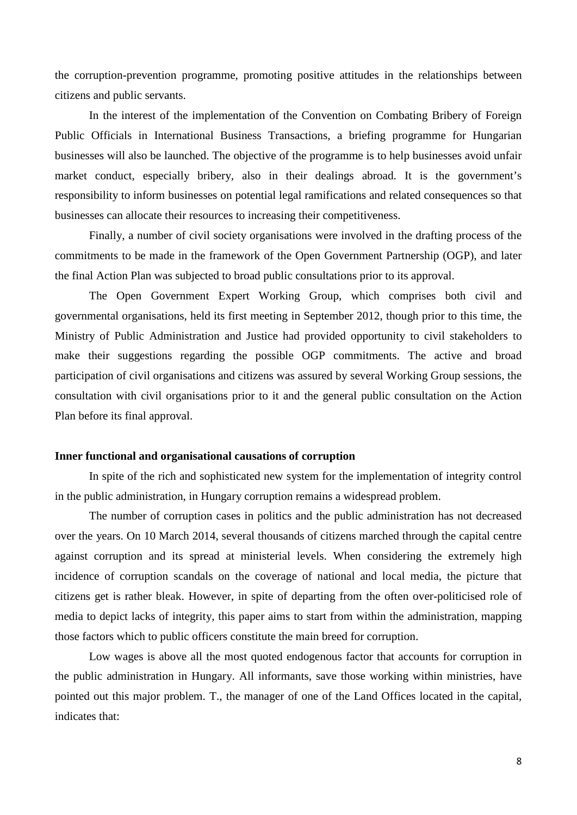the corruption-prevention programme, promoting positive attitudes in the relationships between citizens and public servants.

In the interest of the implementation of the Convention on Combating Bribery of Foreign Public Officials in International Business Transactions, a briefing programme for Hungarian businesses will also be launched. The objective of the programme is to help businesses avoid unfair market conduct, especially bribery, also in their dealings abroad. It is the government's responsibility to inform businesses on potential legal ramifications and related consequences so that businesses can allocate their resources to increasing their competitiveness.

Finally, a number of civil society organisations were involved in the drafting process of the commitments to be made in the framework of the Open Government Partnership (OGP), and later the final Action Plan was subjected to broad public consultations prior to its approval.

The Open Government Expert Working Group, which comprises both civil and governmental organisations, held its first meeting in September 2012, though prior to this time, the Ministry of Public Administration and Justice had provided opportunity to civil stakeholders to make their suggestions regarding the possible OGP commitments. The active and broad participation of civil organisations and citizens was assured by several Working Group sessions, the consultation with civil organisations prior to it and the general public consultation on the Action Plan before its final approval.

#### **Inner functional and organisational causations of corruption**

In spite of the rich and sophisticated new system for the implementation of integrity control in the public administration, in Hungary corruption remains a widespread problem.

The number of corruption cases in politics and the public administration has not decreased over the years. On 10 March 2014, several thousands of citizens marched through the capital centre against corruption and its spread at ministerial levels. When considering the extremely high incidence of corruption scandals on the coverage of national and local media, the picture that citizens get is rather bleak. However, in spite of departing from the often over-politicised role of media to depict lacks of integrity, this paper aims to start from within the administration, mapping those factors which to public officers constitute the main breed for corruption.

Low wages is above all the most quoted endogenous factor that accounts for corruption in the public administration in Hungary. All informants, save those working within ministries, have pointed out this major problem. T., the manager of one of the Land Offices located in the capital, indicates that: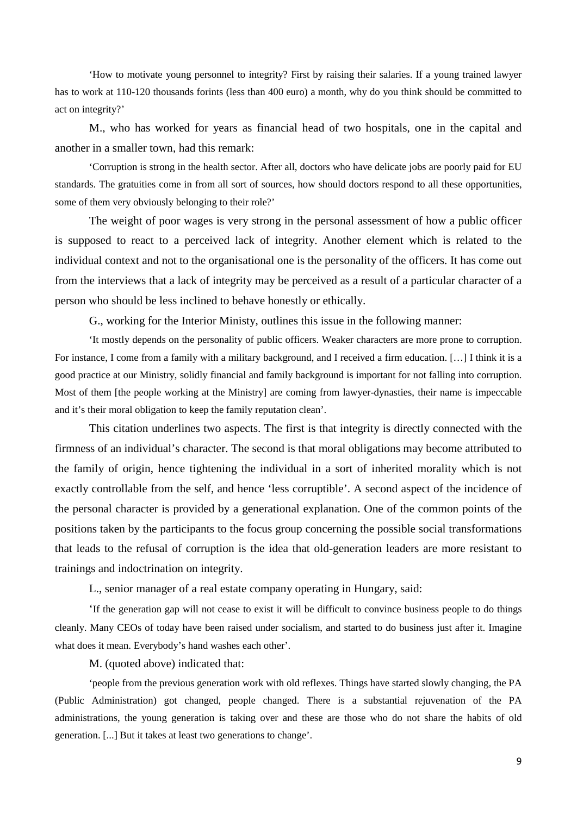'How to motivate young personnel to integrity? First by raising their salaries. If a young trained lawyer has to work at 110-120 thousands forints (less than 400 euro) a month, why do you think should be committed to act on integrity?'

M., who has worked for years as financial head of two hospitals, one in the capital and another in a smaller town, had this remark:

'Corruption is strong in the health sector. After all, doctors who have delicate jobs are poorly paid for EU standards. The gratuities come in from all sort of sources, how should doctors respond to all these opportunities, some of them very obviously belonging to their role?'

The weight of poor wages is very strong in the personal assessment of how a public officer is supposed to react to a perceived lack of integrity. Another element which is related to the individual context and not to the organisational one is the personality of the officers. It has come out from the interviews that a lack of integrity may be perceived as a result of a particular character of a person who should be less inclined to behave honestly or ethically.

G., working for the Interior Ministy, outlines this issue in the following manner:

'It mostly depends on the personality of public officers. Weaker characters are more prone to corruption. For instance, I come from a family with a military background, and I received a firm education. […] I think it is a good practice at our Ministry, solidly financial and family background is important for not falling into corruption. Most of them [the people working at the Ministry] are coming from lawyer-dynasties, their name is impeccable and it's their moral obligation to keep the family reputation clean'.

This citation underlines two aspects. The first is that integrity is directly connected with the firmness of an individual's character. The second is that moral obligations may become attributed to the family of origin, hence tightening the individual in a sort of inherited morality which is not exactly controllable from the self, and hence 'less corruptible'. A second aspect of the incidence of the personal character is provided by a generational explanation. One of the common points of the positions taken by the participants to the focus group concerning the possible social transformations that leads to the refusal of corruption is the idea that old-generation leaders are more resistant to trainings and indoctrination on integrity.

L., senior manager of a real estate company operating in Hungary, said:

'If the generation gap will not cease to exist it will be difficult to convince business people to do things cleanly. Many CEOs of today have been raised under socialism, and started to do business just after it. Imagine what does it mean. Everybody's hand washes each other'.

M. (quoted above) indicated that:

'people from the previous generation work with old reflexes. Things have started slowly changing, the PA (Public Administration) got changed, people changed. There is a substantial rejuvenation of the PA administrations, the young generation is taking over and these are those who do not share the habits of old generation. [...] But it takes at least two generations to change'.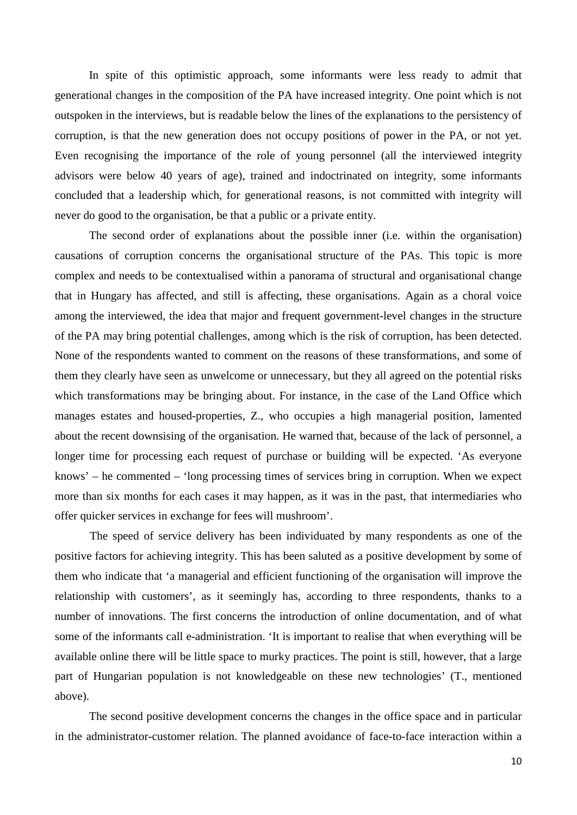In spite of this optimistic approach, some informants were less ready to admit that generational changes in the composition of the PA have increased integrity. One point which is not outspoken in the interviews, but is readable below the lines of the explanations to the persistency of corruption, is that the new generation does not occupy positions of power in the PA, or not yet. Even recognising the importance of the role of young personnel (all the interviewed integrity advisors were below 40 years of age), trained and indoctrinated on integrity, some informants concluded that a leadership which, for generational reasons, is not committed with integrity will never do good to the organisation, be that a public or a private entity.

The second order of explanations about the possible inner (i.e. within the organisation) causations of corruption concerns the organisational structure of the PAs. This topic is more complex and needs to be contextualised within a panorama of structural and organisational change that in Hungary has affected, and still is affecting, these organisations. Again as a choral voice among the interviewed, the idea that major and frequent government-level changes in the structure of the PA may bring potential challenges, among which is the risk of corruption, has been detected. None of the respondents wanted to comment on the reasons of these transformations, and some of them they clearly have seen as unwelcome or unnecessary, but they all agreed on the potential risks which transformations may be bringing about. For instance, in the case of the Land Office which manages estates and housed-properties, Z., who occupies a high managerial position, lamented about the recent downsising of the organisation. He warned that, because of the lack of personnel, a longer time for processing each request of purchase or building will be expected. 'As everyone knows' – he commented – 'long processing times of services bring in corruption. When we expect more than six months for each cases it may happen, as it was in the past, that intermediaries who offer quicker services in exchange for fees will mushroom'.

The speed of service delivery has been individuated by many respondents as one of the positive factors for achieving integrity. This has been saluted as a positive development by some of them who indicate that 'a managerial and efficient functioning of the organisation will improve the relationship with customers', as it seemingly has, according to three respondents, thanks to a number of innovations. The first concerns the introduction of online documentation, and of what some of the informants call e-administration. 'It is important to realise that when everything will be available online there will be little space to murky practices. The point is still, however, that a large part of Hungarian population is not knowledgeable on these new technologies' (T., mentioned above).

The second positive development concerns the changes in the office space and in particular in the administrator-customer relation. The planned avoidance of face-to-face interaction within a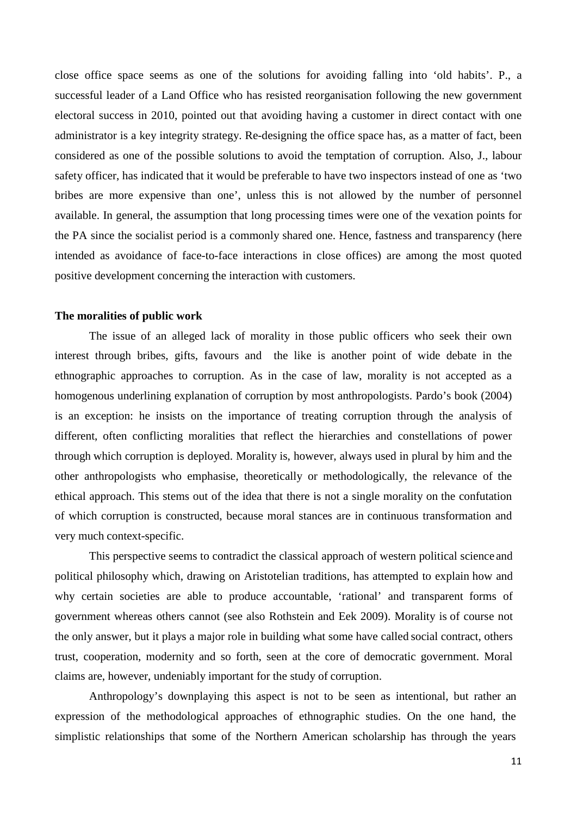close office space seems as one of the solutions for avoiding falling into 'old habits'. P., a successful leader of a Land Office who has resisted reorganisation following the new government electoral success in 2010, pointed out that avoiding having a customer in direct contact with one administrator is a key integrity strategy. Re-designing the office space has, as a matter of fact, been considered as one of the possible solutions to avoid the temptation of corruption. Also, J., labour safety officer, has indicated that it would be preferable to have two inspectors instead of one as 'two bribes are more expensive than one', unless this is not allowed by the number of personnel available. In general, the assumption that long processing times were one of the vexation points for the PA since the socialist period is a commonly shared one. Hence, fastness and transparency (here intended as avoidance of face-to-face interactions in close offices) are among the most quoted positive development concerning the interaction with customers.

#### **The moralities of public work**

The issue of an alleged lack of morality in those public officers who seek their own interest through bribes, gifts, favours and the like is another point of wide debate in the ethnographic approaches to corruption. As in the case of law, morality is not accepted as a homogenous underlining explanation of corruption by most anthropologists. Pardo's book (2004) is an exception: he insists on the importance of treating corruption through the analysis of different, often conflicting moralities that reflect the hierarchies and constellations of power through which corruption is deployed. Morality is, however, always used in plural by him and the other anthropologists who emphasise, theoretically or methodologically, the relevance of the ethical approach. This stems out of the idea that there is not a single morality on the confutation of which corruption is constructed, because moral stances are in continuous transformation and very much context-specific.

This perspective seems to contradict the classical approach of western political science and political philosophy which, drawing on Aristotelian traditions, has attempted to explain how and why certain societies are able to produce accountable, 'rational' and transparent forms of government whereas others cannot (see also Rothstein and Eek 2009). Morality is of course not the only answer, but it plays a major role in building what some have called social contract, others trust, cooperation, modernity and so forth, seen at the core of democratic government. Moral claims are, however, undeniably important for the study of corruption.

Anthropology's downplaying this aspect is not to be seen as intentional, but rather an expression of the methodological approaches of ethnographic studies. On the one hand, the simplistic relationships that some of the Northern American scholarship has through the years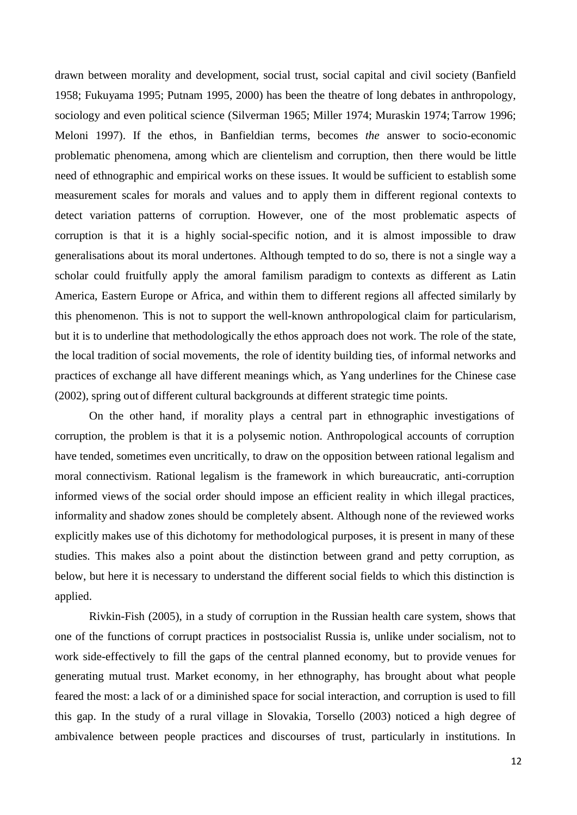drawn between morality and development, social trust, social capital and civil society (Banfield 1958; Fukuyama 1995; Putnam 1995, 2000) has been the theatre of long debates in anthropology, sociology and even political science (Silverman 1965; Miller 1974; Muraskin 1974; Tarrow 1996; Meloni 1997). If the ethos, in Banfieldian terms, becomes *the* answer to socio-economic problematic phenomena, among which are clientelism and corruption, then there would be little need of ethnographic and empirical works on these issues. It would be sufficient to establish some measurement scales for morals and values and to apply them in different regional contexts to detect variation patterns of corruption. However, one of the most problematic aspects of corruption is that it is a highly social-specific notion, and it is almost impossible to draw generalisations about its moral undertones. Although tempted to do so, there is not a single way a scholar could fruitfully apply the amoral familism paradigm to contexts as different as Latin America, Eastern Europe or Africa, and within them to different regions all affected similarly by this phenomenon. This is not to support the well-known anthropological claim for particularism, but it is to underline that methodologically the ethos approach does not work. The role of the state, the local tradition of social movements, the role of identity building ties, of informal networks and practices of exchange all have different meanings which, as Yang underlines for the Chinese case (2002), spring out of different cultural backgrounds at different strategic time points.

On the other hand, if morality plays a central part in ethnographic investigations of corruption, the problem is that it is a polysemic notion. Anthropological accounts of corruption have tended, sometimes even uncritically, to draw on the opposition between rational legalism and moral connectivism. Rational legalism is the framework in which bureaucratic, anti-corruption informed views of the social order should impose an efficient reality in which illegal practices, informality and shadow zones should be completely absent. Although none of the reviewed works explicitly makes use of this dichotomy for methodological purposes, it is present in many of these studies. This makes also a point about the distinction between grand and petty corruption, as below, but here it is necessary to understand the different social fields to which this distinction is applied.

Rivkin-Fish (2005), in a study of corruption in the Russian health care system, shows that one of the functions of corrupt practices in postsocialist Russia is, unlike under socialism, not to work side-effectively to fill the gaps of the central planned economy, but to provide venues for generating mutual trust. Market economy, in her ethnography, has brought about what people feared the most: a lack of or a diminished space for social interaction, and corruption is used to fill this gap. In the study of a rural village in Slovakia, Torsello (2003) noticed a high degree of ambivalence between people practices and discourses of trust, particularly in institutions. In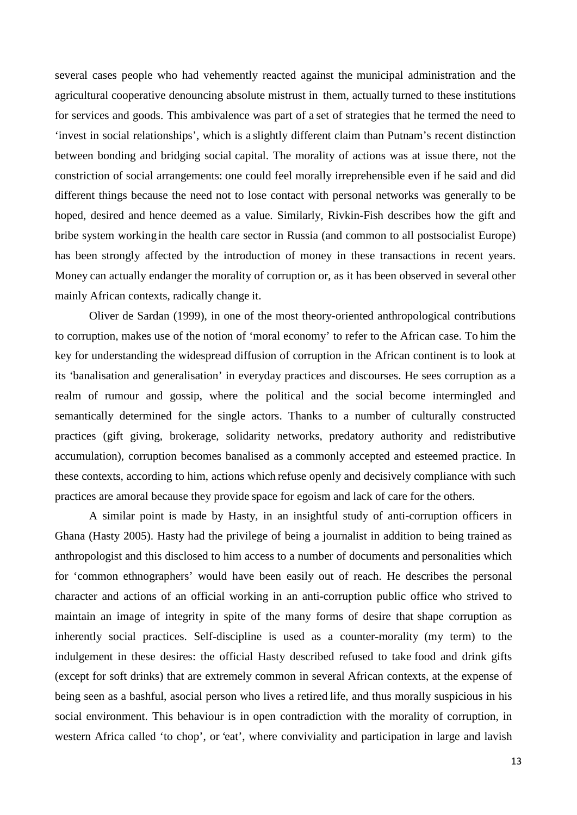several cases people who had vehemently reacted against the municipal administration and the agricultural cooperative denouncing absolute mistrust in them, actually turned to these institutions for services and goods. This ambivalence was part of a set of strategies that he termed the need to 'invest in social relationships', which is a slightly different claim than Putnam's recent distinction between bonding and bridging social capital. The morality of actions was at issue there, not the constriction of social arrangements: one could feel morally irreprehensible even if he said and did different things because the need not to lose contact with personal networks was generally to be hoped, desired and hence deemed as a value. Similarly, Rivkin-Fish describes how the gift and bribe system working in the health care sector in Russia (and common to all postsocialist Europe) has been strongly affected by the introduction of money in these transactions in recent years. Money can actually endanger the morality of corruption or, as it has been observed in several other mainly African contexts, radically change it.

Oliver de Sardan (1999), in one of the most theory-oriented anthropological contributions to corruption, makes use of the notion of 'moral economy' to refer to the African case. To him the key for understanding the widespread diffusion of corruption in the African continent is to look at its 'banalisation and generalisation' in everyday practices and discourses. He sees corruption as a realm of rumour and gossip, where the political and the social become intermingled and semantically determined for the single actors. Thanks to a number of culturally constructed practices (gift giving, brokerage, solidarity networks, predatory authority and redistributive accumulation), corruption becomes banalised as a commonly accepted and esteemed practice. In these contexts, according to him, actions which refuse openly and decisively compliance with such practices are amoral because they provide space for egoism and lack of care for the others.

A similar point is made by Hasty, in an insightful study of anti-corruption officers in Ghana (Hasty 2005). Hasty had the privilege of being a journalist in addition to being trained as anthropologist and this disclosed to him access to a number of documents and personalities which for 'common ethnographers' would have been easily out of reach. He describes the personal character and actions of an official working in an anti-corruption public office who strived to maintain an image of integrity in spite of the many forms of desire that shape corruption as inherently social practices. Self-discipline is used as a counter-morality (my term) to the indulgement in these desires: the official Hasty described refused to take food and drink gifts (except for soft drinks) that are extremely common in several African contexts, at the expense of being seen as a bashful, asocial person who lives a retired life, and thus morally suspicious in his social environment. This behaviour is in open contradiction with the morality of corruption, in western Africa called 'to chop', or 'eat', where conviviality and participation in large and lavish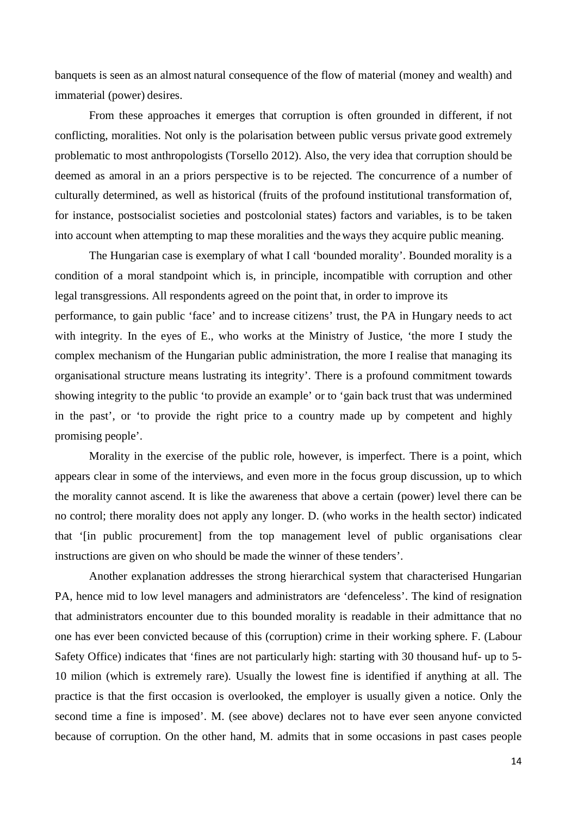banquets is seen as an almost natural consequence of the flow of material (money and wealth) and immaterial (power) desires.

From these approaches it emerges that corruption is often grounded in different, if not conflicting, moralities. Not only is the polarisation between public versus private good extremely problematic to most anthropologists (Torsello 2012). Also, the very idea that corruption should be deemed as amoral in an a priors perspective is to be rejected. The concurrence of a number of culturally determined, as well as historical (fruits of the profound institutional transformation of, for instance, postsocialist societies and postcolonial states) factors and variables, is to be taken into account when attempting to map these moralities and the ways they acquire public meaning.

The Hungarian case is exemplary of what I call 'bounded morality'. Bounded morality is a condition of a moral standpoint which is, in principle, incompatible with corruption and other legal transgressions. All respondents agreed on the point that, in order to improve its performance, to gain public 'face' and to increase citizens' trust, the PA in Hungary needs to act with integrity. In the eyes of E., who works at the Ministry of Justice, 'the more I study the complex mechanism of the Hungarian public administration, the more I realise that managing its organisational structure means lustrating its integrity'. There is a profound commitment towards showing integrity to the public 'to provide an example' or to 'gain back trust that was undermined in the past', or 'to provide the right price to a country made up by competent and highly promising people'.

Morality in the exercise of the public role, however, is imperfect. There is a point, which appears clear in some of the interviews, and even more in the focus group discussion, up to which the morality cannot ascend. It is like the awareness that above a certain (power) level there can be no control; there morality does not apply any longer. D. (who works in the health sector) indicated that '[in public procurement] from the top management level of public organisations clear instructions are given on who should be made the winner of these tenders'.

Another explanation addresses the strong hierarchical system that characterised Hungarian PA, hence mid to low level managers and administrators are 'defenceless'. The kind of resignation that administrators encounter due to this bounded morality is readable in their admittance that no one has ever been convicted because of this (corruption) crime in their working sphere. F. (Labour Safety Office) indicates that 'fines are not particularly high: starting with 30 thousand huf- up to 5- 10 milion (which is extremely rare). Usually the lowest fine is identified if anything at all. The practice is that the first occasion is overlooked, the employer is usually given a notice. Only the second time a fine is imposed'. M. (see above) declares not to have ever seen anyone convicted because of corruption. On the other hand, M. admits that in some occasions in past cases people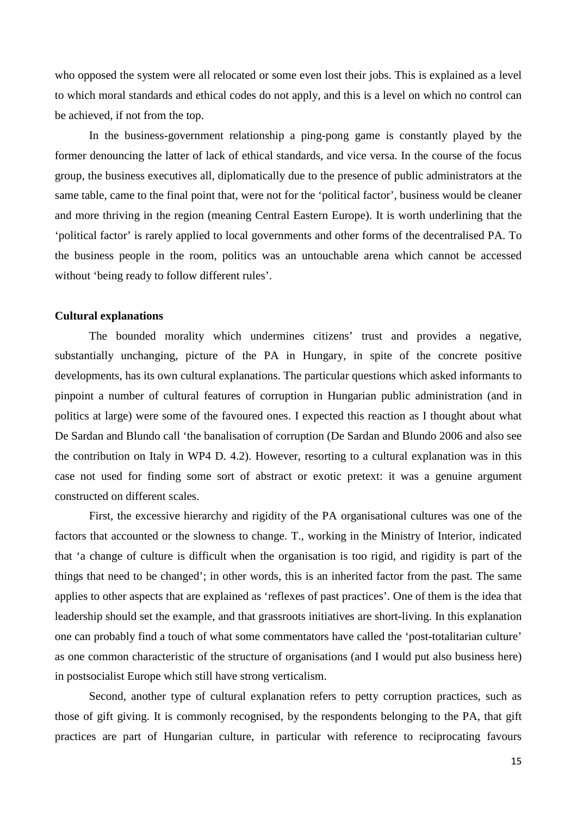who opposed the system were all relocated or some even lost their jobs. This is explained as a level to which moral standards and ethical codes do not apply, and this is a level on which no control can be achieved, if not from the top.

In the business-government relationship a ping-pong game is constantly played by the former denouncing the latter of lack of ethical standards, and vice versa. In the course of the focus group, the business executives all, diplomatically due to the presence of public administrators at the same table, came to the final point that, were not for the 'political factor', business would be cleaner and more thriving in the region (meaning Central Eastern Europe). It is worth underlining that the 'political factor' is rarely applied to local governments and other forms of the decentralised PA. To the business people in the room, politics was an untouchable arena which cannot be accessed without 'being ready to follow different rules'.

#### **Cultural explanations**

The bounded morality which undermines citizens' trust and provides a negative, substantially unchanging, picture of the PA in Hungary, in spite of the concrete positive developments, has its own cultural explanations. The particular questions which asked informants to pinpoint a number of cultural features of corruption in Hungarian public administration (and in politics at large) were some of the favoured ones. I expected this reaction as I thought about what De Sardan and Blundo call 'the banalisation of corruption (De Sardan and Blundo 2006 and also see the contribution on Italy in WP4 D. 4.2). However, resorting to a cultural explanation was in this case not used for finding some sort of abstract or exotic pretext: it was a genuine argument constructed on different scales.

First, the excessive hierarchy and rigidity of the PA organisational cultures was one of the factors that accounted or the slowness to change. T., working in the Ministry of Interior, indicated that 'a change of culture is difficult when the organisation is too rigid, and rigidity is part of the things that need to be changed'; in other words, this is an inherited factor from the past. The same applies to other aspects that are explained as 'reflexes of past practices'. One of them is the idea that leadership should set the example, and that grassroots initiatives are short-living. In this explanation one can probably find a touch of what some commentators have called the 'post-totalitarian culture' as one common characteristic of the structure of organisations (and I would put also business here) in postsocialist Europe which still have strong verticalism.

Second, another type of cultural explanation refers to petty corruption practices, such as those of gift giving. It is commonly recognised, by the respondents belonging to the PA, that gift practices are part of Hungarian culture, in particular with reference to reciprocating favours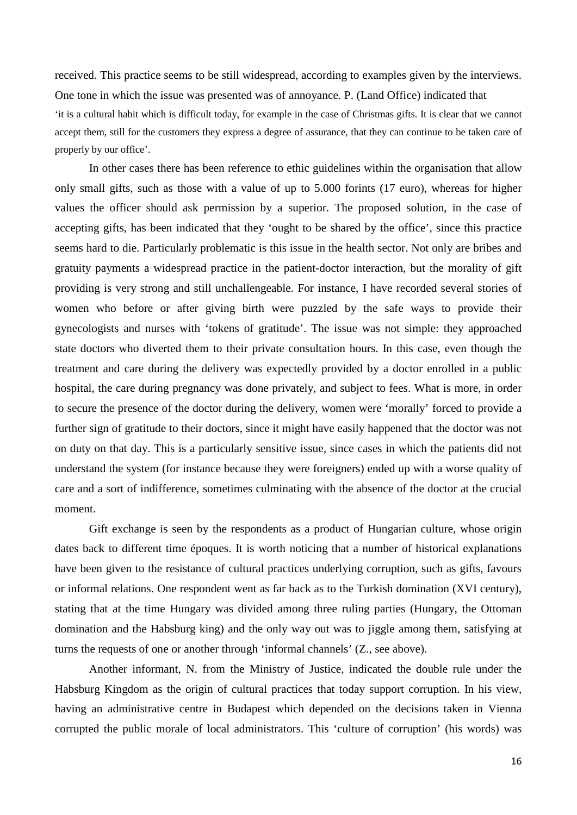received. This practice seems to be still widespread, according to examples given by the interviews. One tone in which the issue was presented was of annoyance. P. (Land Office) indicated that 'it is a cultural habit which is difficult today, for example in the case of Christmas gifts. It is clear that we cannot accept them, still for the customers they express a degree of assurance, that they can continue to be taken care of properly by our office'.

In other cases there has been reference to ethic guidelines within the organisation that allow only small gifts, such as those with a value of up to 5.000 forints (17 euro), whereas for higher values the officer should ask permission by a superior. The proposed solution, in the case of accepting gifts, has been indicated that they 'ought to be shared by the office', since this practice seems hard to die. Particularly problematic is this issue in the health sector. Not only are bribes and gratuity payments a widespread practice in the patient-doctor interaction, but the morality of gift providing is very strong and still unchallengeable. For instance, I have recorded several stories of women who before or after giving birth were puzzled by the safe ways to provide their gynecologists and nurses with 'tokens of gratitude'. The issue was not simple: they approached state doctors who diverted them to their private consultation hours. In this case, even though the treatment and care during the delivery was expectedly provided by a doctor enrolled in a public hospital, the care during pregnancy was done privately, and subject to fees. What is more, in order to secure the presence of the doctor during the delivery, women were 'morally' forced to provide a further sign of gratitude to their doctors, since it might have easily happened that the doctor was not on duty on that day. This is a particularly sensitive issue, since cases in which the patients did not understand the system (for instance because they were foreigners) ended up with a worse quality of care and a sort of indifference, sometimes culminating with the absence of the doctor at the crucial moment.

Gift exchange is seen by the respondents as a product of Hungarian culture, whose origin dates back to different time époques. It is worth noticing that a number of historical explanations have been given to the resistance of cultural practices underlying corruption, such as gifts, favours or informal relations. One respondent went as far back as to the Turkish domination (XVI century), stating that at the time Hungary was divided among three ruling parties (Hungary, the Ottoman domination and the Habsburg king) and the only way out was to jiggle among them, satisfying at turns the requests of one or another through 'informal channels' (Z., see above).

Another informant, N. from the Ministry of Justice, indicated the double rule under the Habsburg Kingdom as the origin of cultural practices that today support corruption. In his view, having an administrative centre in Budapest which depended on the decisions taken in Vienna corrupted the public morale of local administrators. This 'culture of corruption' (his words) was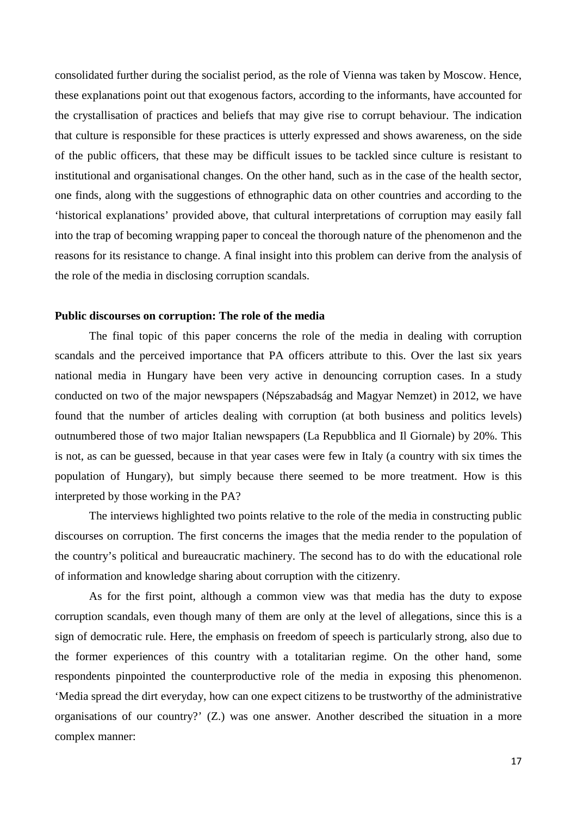consolidated further during the socialist period, as the role of Vienna was taken by Moscow. Hence, these explanations point out that exogenous factors, according to the informants, have accounted for the crystallisation of practices and beliefs that may give rise to corrupt behaviour. The indication that culture is responsible for these practices is utterly expressed and shows awareness, on the side of the public officers, that these may be difficult issues to be tackled since culture is resistant to institutional and organisational changes. On the other hand, such as in the case of the health sector, one finds, along with the suggestions of ethnographic data on other countries and according to the 'historical explanations' provided above, that cultural interpretations of corruption may easily fall into the trap of becoming wrapping paper to conceal the thorough nature of the phenomenon and the reasons for its resistance to change. A final insight into this problem can derive from the analysis of the role of the media in disclosing corruption scandals.

### **Public discourses on corruption: The role of the media**

The final topic of this paper concerns the role of the media in dealing with corruption scandals and the perceived importance that PA officers attribute to this. Over the last six years national media in Hungary have been very active in denouncing corruption cases. In a study conducted on two of the major newspapers (Népszabadság and Magyar Nemzet) in 2012, we have found that the number of articles dealing with corruption (at both business and politics levels) outnumbered those of two major Italian newspapers (La Repubblica and Il Giornale) by 20%. This is not, as can be guessed, because in that year cases were few in Italy (a country with six times the population of Hungary), but simply because there seemed to be more treatment. How is this interpreted by those working in the PA?

The interviews highlighted two points relative to the role of the media in constructing public discourses on corruption. The first concerns the images that the media render to the population of the country's political and bureaucratic machinery. The second has to do with the educational role of information and knowledge sharing about corruption with the citizenry.

As for the first point, although a common view was that media has the duty to expose corruption scandals, even though many of them are only at the level of allegations, since this is a sign of democratic rule. Here, the emphasis on freedom of speech is particularly strong, also due to the former experiences of this country with a totalitarian regime. On the other hand, some respondents pinpointed the counterproductive role of the media in exposing this phenomenon. 'Media spread the dirt everyday, how can one expect citizens to be trustworthy of the administrative organisations of our country?' (Z.) was one answer. Another described the situation in a more complex manner: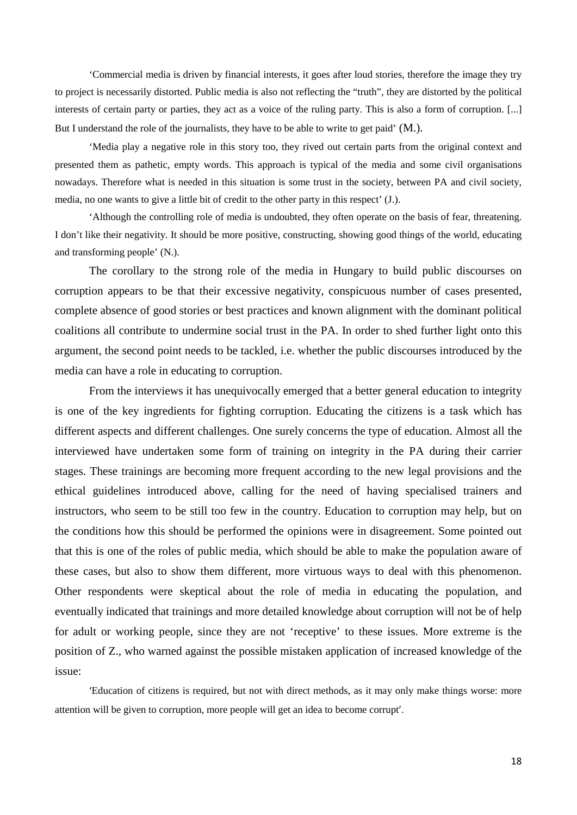'Commercial media is driven by financial interests, it goes after loud stories, therefore the image they try to project is necessarily distorted. Public media is also not reflecting the "truth", they are distorted by the political interests of certain party or parties, they act as a voice of the ruling party. This is also a form of corruption. [...] But I understand the role of the journalists, they have to be able to write to get paid' (M.).

'Media play a negative role in this story too, they rived out certain parts from the original context and presented them as pathetic, empty words. This approach is typical of the media and some civil organisations nowadays. Therefore what is needed in this situation is some trust in the society, between PA and civil society, media, no one wants to give a little bit of credit to the other party in this respect' (J.).

'Although the controlling role of media is undoubted, they often operate on the basis of fear, threatening. I don't like their negativity. It should be more positive, constructing, showing good things of the world, educating and transforming people' (N.).

The corollary to the strong role of the media in Hungary to build public discourses on corruption appears to be that their excessive negativity, conspicuous number of cases presented, complete absence of good stories or best practices and known alignment with the dominant political coalitions all contribute to undermine social trust in the PA. In order to shed further light onto this argument, the second point needs to be tackled, i.e. whether the public discourses introduced by the media can have a role in educating to corruption.

From the interviews it has unequivocally emerged that a better general education to integrity is one of the key ingredients for fighting corruption. Educating the citizens is a task which has different aspects and different challenges. One surely concerns the type of education. Almost all the interviewed have undertaken some form of training on integrity in the PA during their carrier stages. These trainings are becoming more frequent according to the new legal provisions and the ethical guidelines introduced above, calling for the need of having specialised trainers and instructors, who seem to be still too few in the country. Education to corruption may help, but on the conditions how this should be performed the opinions were in disagreement. Some pointed out that this is one of the roles of public media, which should be able to make the population aware of these cases, but also to show them different, more virtuous ways to deal with this phenomenon. Other respondents were skeptical about the role of media in educating the population, and eventually indicated that trainings and more detailed knowledge about corruption will not be of help for adult or working people, since they are not 'receptive' to these issues. More extreme is the position of Z., who warned against the possible mistaken application of increased knowledge of the issue:

'Education of citizens is required, but not with direct methods, as it may only make things worse: more attention will be given to corruption, more people will get an idea to become corrupt'.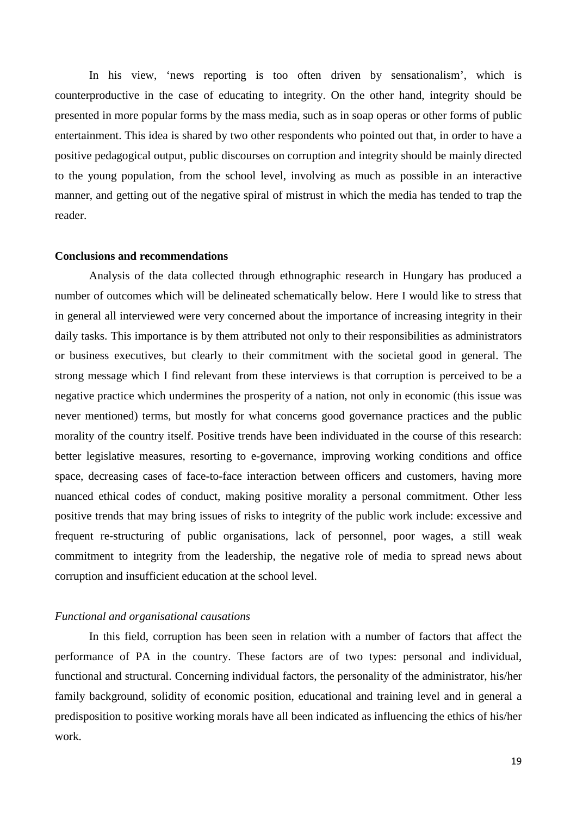In his view, 'news reporting is too often driven by sensationalism', which is counterproductive in the case of educating to integrity. On the other hand, integrity should be presented in more popular forms by the mass media, such as in soap operas or other forms of public entertainment. This idea is shared by two other respondents who pointed out that, in order to have a positive pedagogical output, public discourses on corruption and integrity should be mainly directed to the young population, from the school level, involving as much as possible in an interactive manner, and getting out of the negative spiral of mistrust in which the media has tended to trap the reader.

#### **Conclusions and recommendations**

Analysis of the data collected through ethnographic research in Hungary has produced a number of outcomes which will be delineated schematically below. Here I would like to stress that in general all interviewed were very concerned about the importance of increasing integrity in their daily tasks. This importance is by them attributed not only to their responsibilities as administrators or business executives, but clearly to their commitment with the societal good in general. The strong message which I find relevant from these interviews is that corruption is perceived to be a negative practice which undermines the prosperity of a nation, not only in economic (this issue was never mentioned) terms, but mostly for what concerns good governance practices and the public morality of the country itself. Positive trends have been individuated in the course of this research: better legislative measures, resorting to e-governance, improving working conditions and office space, decreasing cases of face-to-face interaction between officers and customers, having more nuanced ethical codes of conduct, making positive morality a personal commitment. Other less positive trends that may bring issues of risks to integrity of the public work include: excessive and frequent re-structuring of public organisations, lack of personnel, poor wages, a still weak commitment to integrity from the leadership, the negative role of media to spread news about corruption and insufficient education at the school level.

#### *Functional and organisational causations*

In this field, corruption has been seen in relation with a number of factors that affect the performance of PA in the country. These factors are of two types: personal and individual, functional and structural. Concerning individual factors, the personality of the administrator, his/her family background, solidity of economic position, educational and training level and in general a predisposition to positive working morals have all been indicated as influencing the ethics of his/her work.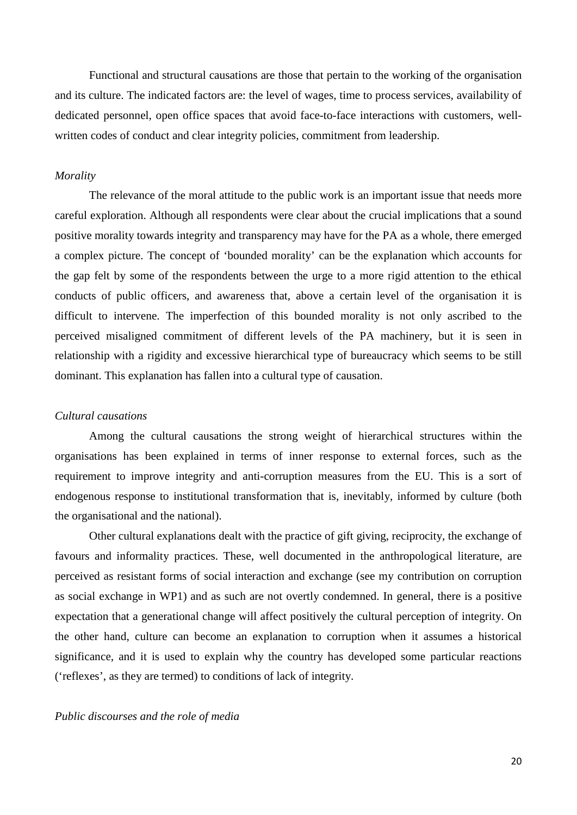Functional and structural causations are those that pertain to the working of the organisation and its culture. The indicated factors are: the level of wages, time to process services, availability of dedicated personnel, open office spaces that avoid face-to-face interactions with customers, wellwritten codes of conduct and clear integrity policies, commitment from leadership.

#### *Morality*

The relevance of the moral attitude to the public work is an important issue that needs more careful exploration. Although all respondents were clear about the crucial implications that a sound positive morality towards integrity and transparency may have for the PA as a whole, there emerged a complex picture. The concept of 'bounded morality' can be the explanation which accounts for the gap felt by some of the respondents between the urge to a more rigid attention to the ethical conducts of public officers, and awareness that, above a certain level of the organisation it is difficult to intervene. The imperfection of this bounded morality is not only ascribed to the perceived misaligned commitment of different levels of the PA machinery, but it is seen in relationship with a rigidity and excessive hierarchical type of bureaucracy which seems to be still dominant. This explanation has fallen into a cultural type of causation.

#### *Cultural causations*

Among the cultural causations the strong weight of hierarchical structures within the organisations has been explained in terms of inner response to external forces, such as the requirement to improve integrity and anti-corruption measures from the EU. This is a sort of endogenous response to institutional transformation that is, inevitably, informed by culture (both the organisational and the national).

Other cultural explanations dealt with the practice of gift giving, reciprocity, the exchange of favours and informality practices. These, well documented in the anthropological literature, are perceived as resistant forms of social interaction and exchange (see my contribution on corruption as social exchange in WP1) and as such are not overtly condemned. In general, there is a positive expectation that a generational change will affect positively the cultural perception of integrity. On the other hand, culture can become an explanation to corruption when it assumes a historical significance, and it is used to explain why the country has developed some particular reactions ('reflexes', as they are termed) to conditions of lack of integrity.

#### *Public discourses and the role of media*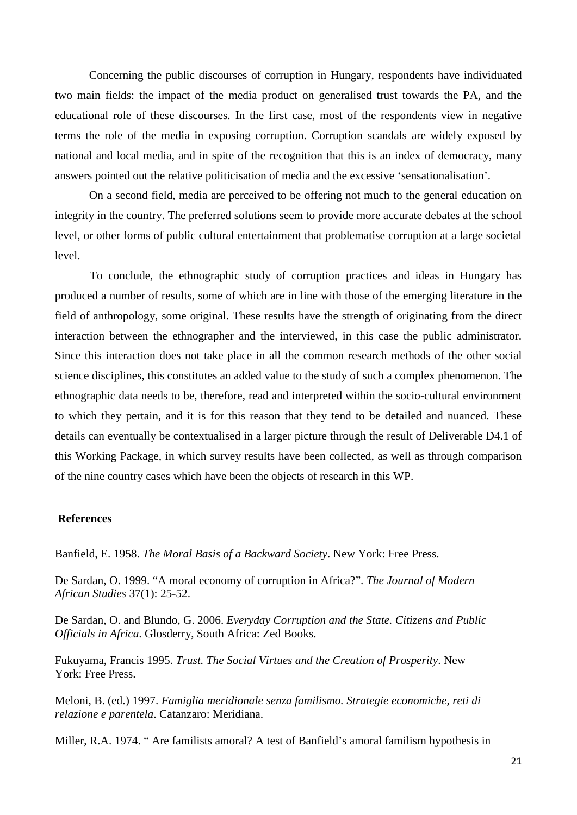Concerning the public discourses of corruption in Hungary, respondents have individuated two main fields: the impact of the media product on generalised trust towards the PA, and the educational role of these discourses. In the first case, most of the respondents view in negative terms the role of the media in exposing corruption. Corruption scandals are widely exposed by national and local media, and in spite of the recognition that this is an index of democracy, many answers pointed out the relative politicisation of media and the excessive 'sensationalisation'.

On a second field, media are perceived to be offering not much to the general education on integrity in the country. The preferred solutions seem to provide more accurate debates at the school level, or other forms of public cultural entertainment that problematise corruption at a large societal level.

To conclude, the ethnographic study of corruption practices and ideas in Hungary has produced a number of results, some of which are in line with those of the emerging literature in the field of anthropology, some original. These results have the strength of originating from the direct interaction between the ethnographer and the interviewed, in this case the public administrator. Since this interaction does not take place in all the common research methods of the other social science disciplines, this constitutes an added value to the study of such a complex phenomenon. The ethnographic data needs to be, therefore, read and interpreted within the socio-cultural environment to which they pertain, and it is for this reason that they tend to be detailed and nuanced. These details can eventually be contextualised in a larger picture through the result of Deliverable D4.1 of this Working Package, in which survey results have been collected, as well as through comparison of the nine country cases which have been the objects of research in this WP.

#### **References**

Banfield, E. 1958. *The Moral Basis of a Backward Society*. New York: Free Press.

De Sardan, O. 1999. "A moral economy of corruption in Africa?". *The Journal of Modern African Studies* 37(1): 25-52.

De Sardan, O. and Blundo, G. 2006. *Everyday Corruption and the State. Citizens and Public Officials in Africa*. Glosderry, South Africa: Zed Books.

Fukuyama, Francis 1995. *Trust. The Social Virtues and the Creation of Prosperity*. New York: Free Press.

Meloni, B. (ed.) 1997. *Famiglia meridionale senza familismo. Strategie economiche, reti di relazione e parentela*. Catanzaro: Meridiana.

Miller, R.A. 1974. " Are familists amoral? A test of Banfield's amoral familism hypothesis in